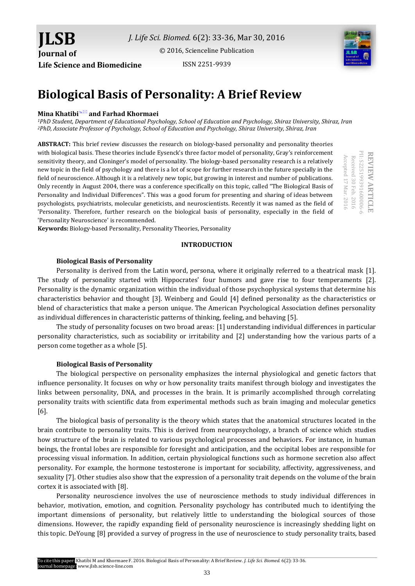[© 2016, Scienceline Publication](http://www.science-line.com/index/)

**Life Science and Biomedicine**

**JLSB**

**Journal of** 

ISSN 2251-9939



# **Biological Basis of Personality: A Brief Review**

## **Mina Khatibi and Farhad Khormaei**

*<sup>1</sup>PhD Student, Department of Educational Psychology, School of Education and Psychology, Shiraz University, Shiraz, Iran <sup>2</sup>PhD, Associate Professor of Psychology, School of Education and Psychology, Shiraz University, Shiraz, Iran*

**ABSTRACT:** This brief review discusses the research on biology-based personality and personality theories with biological basis. These theories include Eysenck's three factor model of personality, Gray's reinforcement sensitivity theory, and Cloninger's model of personality. The biology-based personality research is a relatively new topic in the field of psychology and there is a lot of scope for further research in the future specially in the field of neuroscience. Although it is a relatively new topic, but growing in interest and number of publications. Only recently in August 2004, there was a conference specifically on this topic, called "The Biological Basis of Personality and Individual Differences". This was a good forum for presenting and sharing of ideas between psychologists, psychiatrists, molecular geneticists, and neuroscientists. Recently it was named as the field of 'Personality. Therefore, further research on the biological basis of personality, especially in the field of 'Personality Neuroscience' is recommended.

PII: S225199391600006-6 PII: S225199391600006-6 **REVIEW** Accepted 17 Mar. 2016 Accepted 17 Mar. 2016 Received 30 Feb. 2016 Received 30 Feb. 2016 **ARTICLE**

**Keywords:** Biology-based Personality, Personality Theories, Personality

## **INTRODUCTION**

## **Biological Basis of Personality**

Personality is derived from the Latin word, persona, where it originally referred to a theatrical mask [1]. The study of personality started with Hippocrates' four humors and gave rise to four temperaments [2]. Personality is the dynamic organization within the individual of those psychophysical systems that determine his characteristics behavior and thought [3]. Weinberg and Gould [4] defined personality as the characteristics or blend of characteristics that make a person unique. The American Psychological Association defines personality as individual differences in characteristic patterns of thinking, feeling, and behaving [5].

The study of personality focuses on two broad areas: [1] understanding individual differences in particular personality characteristics, such as sociability or irritability and [2] understanding how the various parts of a person come together as a whole [5].

## **Biological Basis of Personality**

The biological perspective on personality emphasizes the internal [physiological](https://www.boundless.com/psychology/definition/physiological/) and genetic factors that influence personality. It focuses on why or how personality traits manifest through biology and investigates the links between personality, DNA, and processes in the brain. It is primarily accomplished through correlating personality traits with scientific data from experimental methods such as brain imaging and molecular genetics [6].

The biological basis of personality is the theory which states that the anatomical structures located in the brain contribute to personality traits. This is derived from neuropsychology, a branch of science which studies how structure of the brain is related to various psychological processes and behaviors. For instance, in human beings, the frontal lobes are responsible for foresight and anticipation, and the occipital lobes are responsible for processing visual information. In addition, certain physiological functions such as hormone secretion also affect personality. For example, the hormone testosterone is important for sociability, affectivity, aggressiveness, and sexuality [7]. Other studies also show that the expression of a personality trait depends on the volume of the brain cortex it is associated with [8].

Personality neuroscience involves the use of neuroscience methods to study individual differences in behavior, motivation, emotion, and cognition. Personality psychology has contributed much to identifying the important dimensions of personality, but relatively little to understanding the biological sources of those dimensions. However, the rapidly expanding field of personality neuroscience is increasingly shedding light on this topic. DeYoung [8] provided a survey of progress in the use of neuroscience to study personality traits, based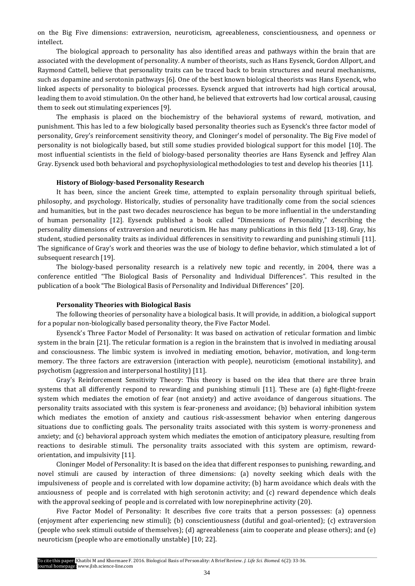on the Big Five dimensions: extraversion, neuroticism, agreeableness, conscientiousness, and openness or intellect.

The biological approach to personality has also identified areas and pathways within the brain that are associated with the development of personality. A number of theorists, such as Hans Eysenck, Gordon Allport, and Raymond Cattell, believe that personality traits can be traced back to brain [structures](https://www.boundless.com/psychology/definition/structure/) and neural mechanisms, such a[s dopamine](https://www.boundless.com/psychology/definition/dopamine/) and serotonin pathways [6]. One of the best known biological theorists was [Hans Eysenck,](http://psychology.about.com/od/profilesal/p/hans-eysenck.htm) who linked aspects of personality to biological processes. Eysenck argued that [introverts](http://psychology.about.com/od/trait-theories-personality/f/introversion.htm) had high cortical arousal, leading them to avoid stimulation. On the other hand, he believed that [extroverts](http://psychology.about.com/od/trait-theories-personality/f/extraversion.htm) had low cortical arousal, causing them to seek out stimulating experiences [9].

The emphasis is placed on the biochemistry of the behavioral systems of reward, motivation, and punishment. This has led to a few biologically based personality theories such as Eysenck's three factor model of personality, Grey's reinforcement sensitivity theory, and Cloninger's model of personality. The Big Five model of personality is not biologically based, but still some studies provided biological support for this model [10]. The most influential scientists in the field of biology-based personality theories are Hans Eysenck and Jeffrey Alan Gray. Eysenck used both behavioral and psychophysiological methodologies to test and develop his theories [11]*.*

#### **History of Biology-based Personality Research**

It has been, since the ancient Greek time, attempted to explain personality through spiritual beliefs, philosophy, and psychology. Historically, studies of personality have traditionally come from the social sciences and humanities, but in the past two decades neuroscience has begun to be more influential in the understanding of human personality [12]*.* Eysenck published a book called "Dimensions of Personality," describing the personality dimensions of extraversion and neuroticism. He has many publications in this field [13-18]. Gray, his student, studied personality traits as individual differences in sensitivity to rewarding and punishing stimuli [11]*.* The significance of Gray's work and theories was the use of biology to define behavior, which stimulated a lot of subsequent research [19].

The biology-based personality research is a relatively new topic and recently, in 2004, there was a conference entitled "The Biological Basis of Personality and Individual Differences". This resulted in the publication of a book "The Biological Basis of Personality and Individual Differences" [20].

### **Personality Theories with Biological Basis**

The following theories of personality have a biological basis. It will provide, in addition, a biological support for a popular non-biologically based personality theory, the Five Factor Model.

Eysenck's Three Factor Model of Personality: It was based on activation of [reticular formation](https://en.wikipedia.org/wiki/Reticular_formation) and [limbic](https://en.wikipedia.org/wiki/Limbic_system)  [system](https://en.wikipedia.org/wiki/Limbic_system) in the brain [21]. The reticular formation is a region in th[e brainstem](https://en.wikipedia.org/wiki/Brainstem) that is involved in mediating arousal and consciousness. The [limbic system](https://en.wikipedia.org/wiki/Limbic_system) is involved in mediating emotion, behavior, motivation, and long-term memory. The three factors are extraversion (interaction with people), neuroticism (emotional instability), and psychotism (aggression and interpersonal hostility) [11].

Gray's Reinforcement Sensitivity Theory: This theory is based on the idea that there are three brain systems that all differently respond to rewarding and punishing stimuli [11]. These are (a) [fight-flight-freeze](https://en.wikipedia.org/wiki/Fight-or-flight_response)  [system](https://en.wikipedia.org/wiki/Fight-or-flight_response) which mediates the emotion of fear (not anxiety) and active avoidance of dangerous situations. The personality traits associated with this system is fear-proneness and avoidance; (b) [behavioral inhibition system](https://en.wikipedia.org/wiki/Behavioral_Inhibition_System) which mediates the emotion of anxiety and cautious risk-assessment behavior when entering dangerous situations due to conflicting goals. The personality traits associated with this system is worry-proneness and anxiety; and (c[\) behavioral approach system](https://en.wikipedia.org/w/index.php?title=Behavioral_Approach_System&action=edit&redlink=1) which mediates the emotion of anticipatory pleasure, resulting from reactions to desirable stimuli. The personality traits associated with this system are optimism, rewardorientation, and impulsivity [11]*.*

Cloninger Model of Personality: It is based on the idea that different responses to punishing, rewarding, and novel stimuli are caused by interaction of three dimensions: (a) [novelty](https://en.wikipedia.org/wiki/Novelty_Seeking) seeking which deals with the impulsiveness of people and is correlated with low [dopamine](https://en.wikipedia.org/wiki/Dopamine) activity; (b) [harm avoidance](https://en.wikipedia.org/wiki/Harm_Avoidance) which deals with the anxiousness of people and is correlated with high [serotonin](https://en.wikipedia.org/wiki/Serotonin) activity; and (c) [reward dependence](https://en.wikipedia.org/wiki/Reward_Dependence) which deals with the approval seeking of people and is correlated with low [norepinephrine](https://en.wikipedia.org/wiki/Norepinephrine) activity (20).

Five Factor Model of Personality: It describes five core traits that a person possesses: (a) [openness](https://en.wikipedia.org/wiki/Openness) (enjoyment after experiencing new stimuli); (b) [conscientiousness](https://en.wikipedia.org/wiki/Conscientiousness) (dutiful and goal-oriented); (c) [extraversion](https://en.wikipedia.org/wiki/Extraversion) (people who seek stimuli outside of themselves); (d) [agreeableness](https://en.wikipedia.org/wiki/Agreeableness) (aim to cooperate and please others); and (e) [neuroticism](https://en.wikipedia.org/wiki/Neuroticism) (people who are emotionally unstable) [10; 22].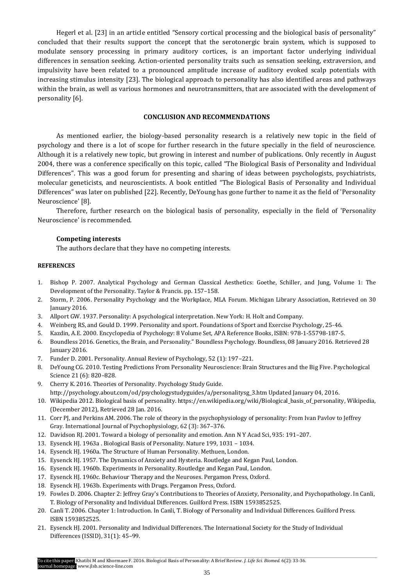Hegerl et al. [23] in an article entitled "Sensory cortical processing and the biological basis of personality" concluded that their results support the concept that the serotonergic brain system, which is supposed to modulate sensory processing in primary auditory cortices, is an important factor underlying individual differences in sensation seeking. Action-oriented personality traits such as sensation seeking, extraversion, and impulsivity have been related to a pronounced amplitude increase of auditory evoked scalp potentials with increasing stimulus intensity [23]. The biological approach to personality has also identified areas and pathways within the brain, as well as various [hormones](https://www.boundless.com/psychology/definition/hormone/) and [neurotransmitters,](https://www.boundless.com/psychology/definition/neurotransmitters/) that are associated with the development of personality [6].

## **CONCLUSION AND RECOMMENDATIONS**

As mentioned earlier, the biology-based personality research is a relatively new topic in the field of psychology and there is a lot of scope for further research in the future specially in the field of neuroscience. Although it is a relatively new topic, but growing in interest and number of publications. Only recently in August 2004, there was a conference specifically on this topic, called "The Biological Basis of Personality and Individual Differences". This was a good forum for presenting and sharing of ideas between psychologists, psychiatrists, molecular geneticists, and neuroscientists. A book entitled "The Biological Basis of Personality and Individual Differences" was later on published [22]. Recently, DeYoung has gone further to name it as the field of 'Personality Neuroscience' [8].

Therefore, further research on the biological basis of personality, especially in the field of 'Personality Neuroscience' is recommended.

#### **Competing interests**

The authors declare that they have no competing interests.

#### **REFERENCES**

- 1. Bishop P. 2007. Analytical Psychology and German Classical Aesthetics: Goethe, Schiller, and Jung, Volume 1: The Development of the Personality. Taylor & Francis. pp. 157–158.
- 2. Storm, P. 2006. [Personality Psychology and the Workplace,](http://www.mlaforum.org/volumeV/issue2/article3.html) MLA Forum. Michigan Library Association, Retrieved on 30 January 2016.
- 3. Allport GW. 1937. Personality: A psychological interpretation. New York: H. Holt and Company.
- 4. Weinberg RS, and Gould D. 1999. Personality and sport. Foundations of Sport and Exercise Psychology, 25-46.
- 5. Kazdin, A.E. 2000. Encyclopedia of Psychology: 8 Volume Set[, APA Reference Books,](http://www.apa.org/pubs/books/browse.aspx?query=&fq=DocumentType:%22Book/Monograph%22%20AND%20SeriesFilt:%22APA%20Reference%20Books%22&sort=ContentDateSort%20desc) ISBN: 978-1-55798-187-5.
- 6. Boundless 2016. Genetics, the Brain, and Personality." Boundless Psychology. Boundless, 08 January 2016. Retrieved 28 January 2016.
- 7. Funder D. 2001. Personality. Annual Review of Psychology, 52 (1): 197–221.
- 8. DeYoung CG. 2010[. Testing Predictions From Personality Neuroscience: Brain Structures and the Big Five.](https://www.ncbi.nlm.nih.gov/pmc/articles/PMC3049165) Psychological Science 21 (6): 820–828.
- 9. Cherry K. 2016. Theories of Personality. Psychology Study Guide.
	- http://psychology.about.com/od/psychologystudyguides/a/personalitysg\_3.htm Updated January 04, 2016.
- 10. Wikipedia 2012. Biological basis of personality. https://en.wikipedia.org/wiki/Biological\_basis\_of\_personality, Wikipedia, (December 2012), Retrieved 28 Jan. 2016.
- 11. Corr PJ, and Perkins AM. 2006. The role of theory in the psychophysiology of personality: From Ivan Pavlov to Jeffrey Gray. International Journal of Psychophysiology, 62 (3): 367–376.
- 12. Davidson RJ. 2001. Toward a biology of personality and emotion. Ann N Y Acad Sci, 935: 191–207.
- 13. Eysenck HJ. 1963a . Biological Basis of Personality. Nature 199, 1031 1034.
- 14. Eysenck HJ. 1960a. The Structure of Human Personality. Methuen, London.
- 15. Eysenck HJ. 1957. The Dynamics of Anxiety and Hysteria. Routledge and Kegan Paul, London.
- 16. Eysenck HJ. 1960b. Experiments in Personality. Routledge and Kegan Paul, London.
- 17. Eysenck HJ. 1960c. Behaviour Therapy and the Neuroses. Pergamon Press, Oxford.
- 18. Eysenck HJ. 1963b. Experiments with Drugs. Pergamon Press, Oxford.
- 19. Fowles D. 2006. Chapter 2: Jeffrey Gray's Contributions to Theories of Anxiety, Personality, and Psychopathology. In Canli, T. Biology of Personality and Individual Differences. Guilford Press. ISBN 1593852525.
- 20. Canli T. 2006. Chapter 1: Introduction. In Canli, T. Biology of Personality and Individual Differences. Guilford Press. [ISBN](https://en.wikipedia.org/wiki/International_Standard_Book_Number) [1593852525.](https://en.wikipedia.org/wiki/Special:BookSources/1593852525)
- 21. [Eysenck](http://www.sciencedirect.com/science/article/pii/S0191886900002361) HJ. 2001. Personality and Individual [Differences.](http://www.sciencedirect.com/science/journal/01918869) [The International Society for the Study of Individual](http://www.sciencedirect.com/science/article/pii/S0191886901000757)  [Differences \(ISSID\),](http://www.sciencedirect.com/science/article/pii/S0191886901000757) [31\(1\)](http://www.sciencedirect.com/science/journal/01918869/31/1): 45–99.